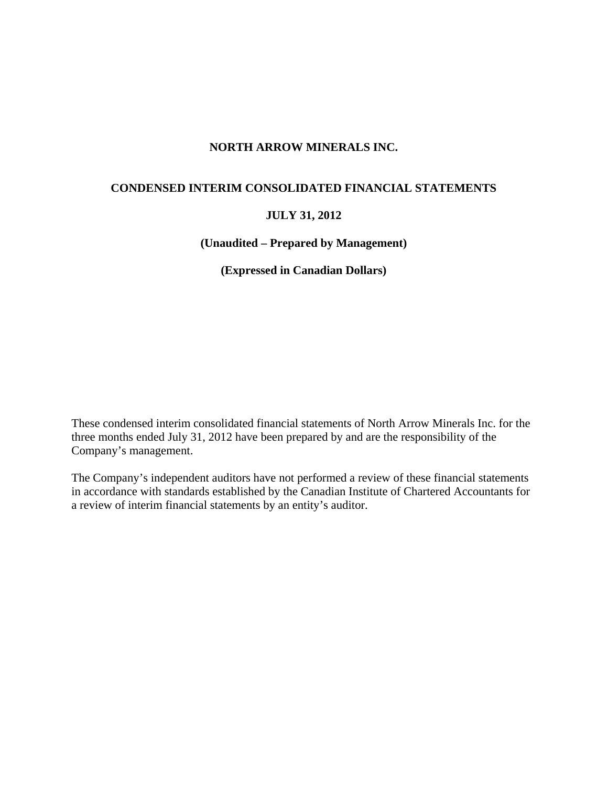# **NORTH ARROW MINERALS INC.**

# **CONDENSED INTERIM CONSOLIDATED FINANCIAL STATEMENTS**

# **JULY 31, 2012**

**(Unaudited – Prepared by Management)** 

**(Expressed in Canadian Dollars)** 

These condensed interim consolidated financial statements of North Arrow Minerals Inc. for the three months ended July 31, 2012 have been prepared by and are the responsibility of the Company's management.

The Company's independent auditors have not performed a review of these financial statements in accordance with standards established by the Canadian Institute of Chartered Accountants for a review of interim financial statements by an entity's auditor.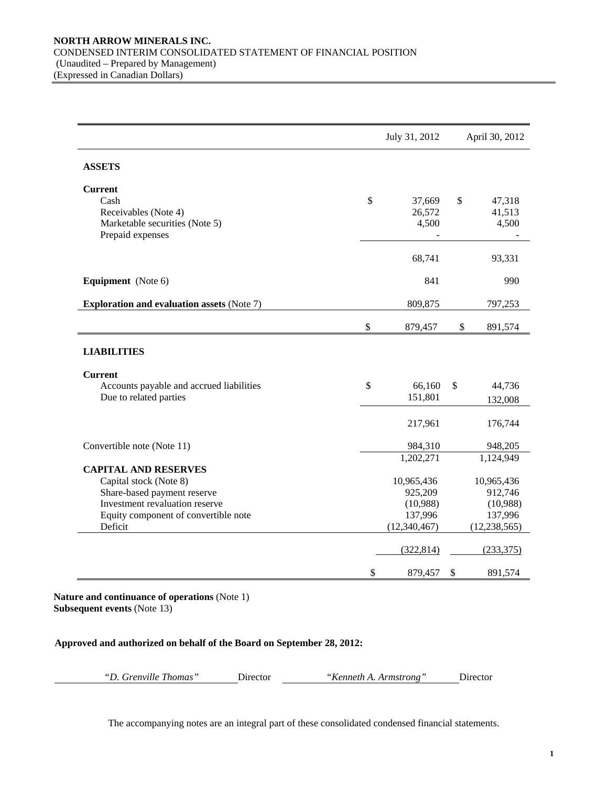|                                                                                                                                                                           | July 31, 2012                                                             | April 30, 2012                                                              |
|---------------------------------------------------------------------------------------------------------------------------------------------------------------------------|---------------------------------------------------------------------------|-----------------------------------------------------------------------------|
| <b>ASSETS</b>                                                                                                                                                             |                                                                           |                                                                             |
| <b>Current</b><br>Cash<br>Receivables (Note 4)<br>Marketable securities (Note 5)<br>Prepaid expenses                                                                      | \$<br>37,669<br>26,572<br>4,500                                           | \$<br>47,318<br>41,513<br>4,500                                             |
|                                                                                                                                                                           | 68,741                                                                    | 93,331                                                                      |
| Equipment (Note 6)                                                                                                                                                        | 841                                                                       | 990                                                                         |
| <b>Exploration and evaluation assets (Note 7)</b>                                                                                                                         | 809,875                                                                   | 797,253                                                                     |
|                                                                                                                                                                           | \$<br>879,457                                                             | \$<br>891,574                                                               |
| <b>LIABILITIES</b>                                                                                                                                                        |                                                                           |                                                                             |
| <b>Current</b><br>Accounts payable and accrued liabilities<br>Due to related parties                                                                                      | \$<br>66,160<br>151,801                                                   | \$<br>44,736<br>132,008                                                     |
|                                                                                                                                                                           | 217,961                                                                   | 176,744                                                                     |
| Convertible note (Note 11)                                                                                                                                                | 984,310                                                                   | 948,205                                                                     |
| <b>CAPITAL AND RESERVES</b><br>Capital stock (Note 8)<br>Share-based payment reserve<br>Investment revaluation reserve<br>Equity component of convertible note<br>Deficit | 1,202,271<br>10,965,436<br>925,209<br>(10,988)<br>137,996<br>(12,340,467) | 1,124,949<br>10,965,436<br>912,746<br>(10,988)<br>137,996<br>(12, 238, 565) |
|                                                                                                                                                                           | (322, 814)                                                                | (233, 375)                                                                  |
|                                                                                                                                                                           | \$<br>879,457                                                             | \$<br>891,574                                                               |

**Nature and continuance of operations** (Note 1) **Subsequent events** (Note 13)

**Approved and authorized on behalf of the Board on September 28, 2012:** 

| "D. Grenville Thomas"<br>Director |  | "Kenneth A. Armstrong"<br>Director |
|-----------------------------------|--|------------------------------------|
|-----------------------------------|--|------------------------------------|

The accompanying notes are an integral part of these consolidated condensed financial statements.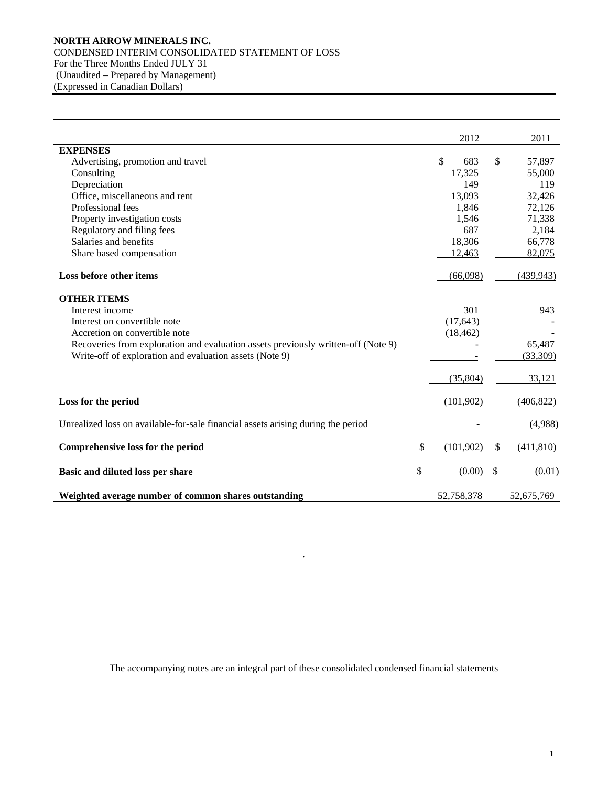### **NORTH ARROW MINERALS INC.**  CONDENSED INTERIM CONSOLIDATED STATEMENT OF LOSS For the Three Months Ended JULY 31 (Unaudited – Prepared by Management) (Expressed in Canadian Dollars)

|                                                                                   | 2012                | 2011             |
|-----------------------------------------------------------------------------------|---------------------|------------------|
| <b>EXPENSES</b>                                                                   |                     |                  |
| Advertising, promotion and travel                                                 | $\mathbb{S}$<br>683 | \$<br>57,897     |
| Consulting                                                                        | 17,325              | 55,000           |
| Depreciation                                                                      | 149                 | 119              |
| Office, miscellaneous and rent                                                    | 13,093              | 32,426           |
| Professional fees                                                                 | 1,846               | 72,126           |
| Property investigation costs                                                      | 1,546               | 71,338           |
| Regulatory and filing fees                                                        | 687                 | 2,184            |
| Salaries and benefits                                                             | 18,306              | 66,778           |
| Share based compensation                                                          | 12,463              | 82,075           |
| Loss before other items                                                           | (66,098)            | (439, 943)       |
| <b>OTHER ITEMS</b>                                                                |                     |                  |
| Interest income                                                                   | 301                 | 943              |
| Interest on convertible note                                                      | (17, 643)           |                  |
| Accretion on convertible note                                                     | (18, 462)           |                  |
| Recoveries from exploration and evaluation assets previously written-off (Note 9) |                     | 65,487           |
| Write-off of exploration and evaluation assets (Note 9)                           |                     | (33,309)         |
|                                                                                   | (35,804)            | 33,121           |
| Loss for the period                                                               | (101,902)           | (406, 822)       |
| Unrealized loss on available-for-sale financial assets arising during the period  |                     | (4,988)          |
| Comprehensive loss for the period                                                 | \$<br>(101,902)     | \$<br>(411, 810) |
| Basic and diluted loss per share                                                  | \$<br>(0.00)        | \$<br>(0.01)     |
| Weighted average number of common shares outstanding                              | 52,758,378          | 52,675,769       |

The accompanying notes are an integral part of these consolidated condensed financial statements

.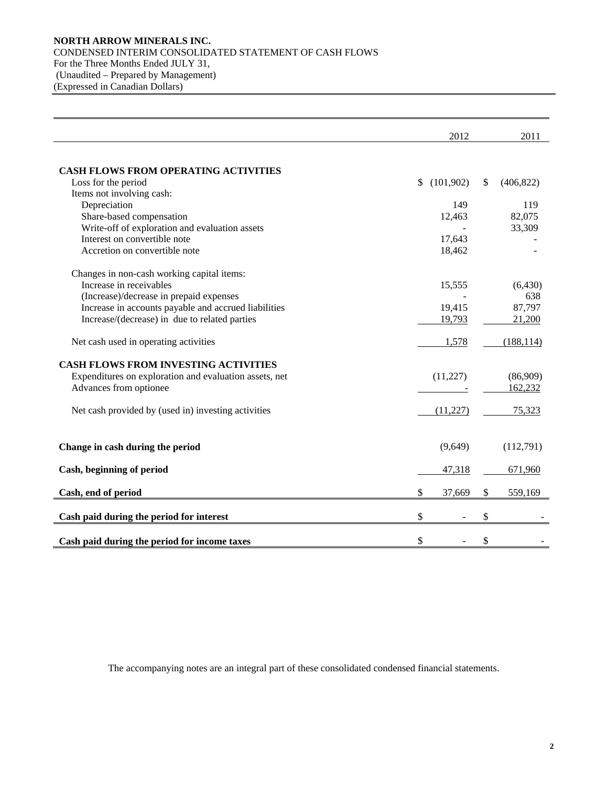### **NORTH ARROW MINERALS INC.**  CONDENSED INTERIM CONSOLIDATED STATEMENT OF CASH FLOWS For the Three Months Ended JULY 31, (Unaudited – Prepared by Management) (Expressed in Canadian Dollars)

|                                                        | 2012            | 2011             |
|--------------------------------------------------------|-----------------|------------------|
|                                                        |                 |                  |
| <b>CASH FLOWS FROM OPERATING ACTIVITIES</b>            |                 |                  |
| Loss for the period                                    | (101,902)<br>\$ | \$<br>(406, 822) |
| Items not involving cash:                              |                 |                  |
| Depreciation                                           | 149             | 119              |
| Share-based compensation                               | 12,463          | 82,075           |
| Write-off of exploration and evaluation assets         |                 | 33,309           |
| Interest on convertible note                           | 17,643          |                  |
| Accretion on convertible note                          | 18,462          |                  |
| Changes in non-cash working capital items:             |                 |                  |
| Increase in receivables                                | 15,555          | (6,430)          |
| (Increase)/decrease in prepaid expenses                |                 | 638              |
| Increase in accounts payable and accrued liabilities   | 19,415          | 87,797           |
| Increase/(decrease) in due to related parties          | 19,793          | 21,200           |
| Net cash used in operating activities                  | 1,578           | (188, 114)       |
| <b>CASH FLOWS FROM INVESTING ACTIVITIES</b>            |                 |                  |
| Expenditures on exploration and evaluation assets, net | (11,227)        | (86,909)         |
| Advances from optionee                                 |                 | 162,232          |
| Net cash provided by (used in) investing activities    | (11.227)        | 75,323           |
| Change in cash during the period                       | (9,649)         | (112,791)        |
| Cash, beginning of period                              | 47,318          | 671,960          |
| Cash, end of period                                    | \$<br>37,669    | 559,169<br>\$    |
| Cash paid during the period for interest               | \$              | \$               |
|                                                        |                 |                  |
| Cash paid during the period for income taxes           | \$              | \$               |

The accompanying notes are an integral part of these consolidated condensed financial statements.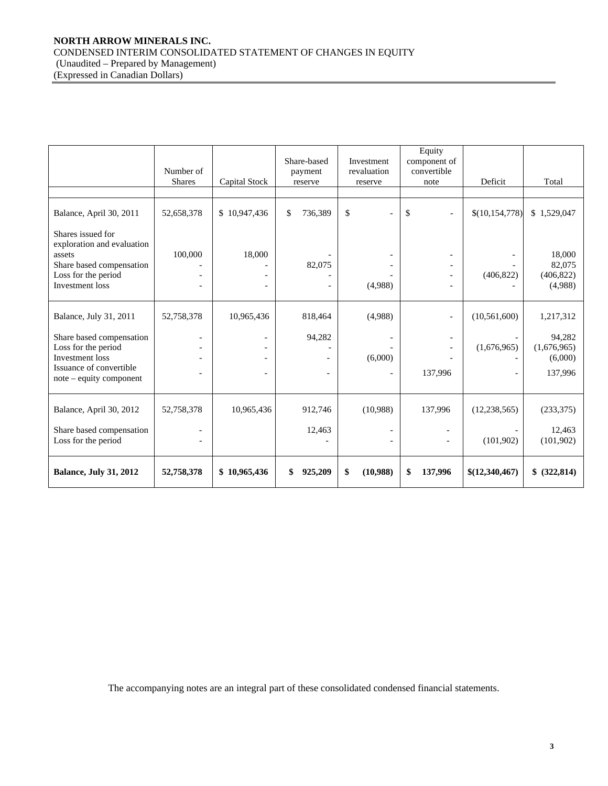### **NORTH ARROW MINERALS INC.**  CONDENSED INTERIM CONSOLIDATED STATEMENT OF CHANGES IN EQUITY (Unaudited – Prepared by Management) (Expressed in Canadian Dollars)

|                                                                                                                                        | Number of<br><b>Shares</b> | Share-based<br>payment<br>Capital Stock<br>reserve |                   | Investment<br>revaluation<br>reserve | Equity<br>component of<br>convertible<br>note | Deficit          | Total                                       |
|----------------------------------------------------------------------------------------------------------------------------------------|----------------------------|----------------------------------------------------|-------------------|--------------------------------------|-----------------------------------------------|------------------|---------------------------------------------|
|                                                                                                                                        |                            |                                                    |                   |                                      |                                               |                  |                                             |
| Balance, April 30, 2011                                                                                                                | 52,658,378                 | \$10,947,436                                       | \$<br>736,389     | \$                                   | \$<br>$\overline{\phantom{a}}$                | \$(10, 154, 778) | \$1,529,047                                 |
| Shares issued for<br>exploration and evaluation<br>assets<br>Share based compensation<br>Loss for the period<br><b>Investment</b> loss | 100,000                    | 18,000                                             | 82,075            | (4,988)                              |                                               | (406, 822)       | 18,000<br>82,075<br>(406, 822)<br>(4,988)   |
| Balance, July 31, 2011                                                                                                                 | 52,758,378                 | 10,965,436                                         | 818,464           | (4,988)                              | $\overline{\phantom{a}}$                      | (10, 561, 600)   | 1,217,312                                   |
| Share based compensation<br>Loss for the period<br><b>Investment</b> loss<br>Issuance of convertible<br>note - equity component        |                            | $\overline{\phantom{a}}$<br>$\qquad \qquad -$      | 94,282            | (6,000)                              | $\overline{\phantom{a}}$<br>137,996           | (1,676,965)      | 94,282<br>(1,676,965)<br>(6,000)<br>137,996 |
| Balance, April 30, 2012<br>Share based compensation                                                                                    | 52,758,378                 | 10,965,436                                         | 912,746<br>12,463 | (10,988)                             | 137,996                                       | (12, 238, 565)   | (233, 375)<br>12,463                        |
| Loss for the period                                                                                                                    |                            |                                                    |                   |                                      |                                               | (101,902)        | (101, 902)                                  |
| <b>Balance, July 31, 2012</b>                                                                                                          | 52,758,378                 | \$10,965,436                                       | \$<br>925,209     | \$<br>(10,988)                       | \$<br>137,996                                 | \$(12,340,467)   | \$ (322, 814)                               |

The accompanying notes are an integral part of these consolidated condensed financial statements.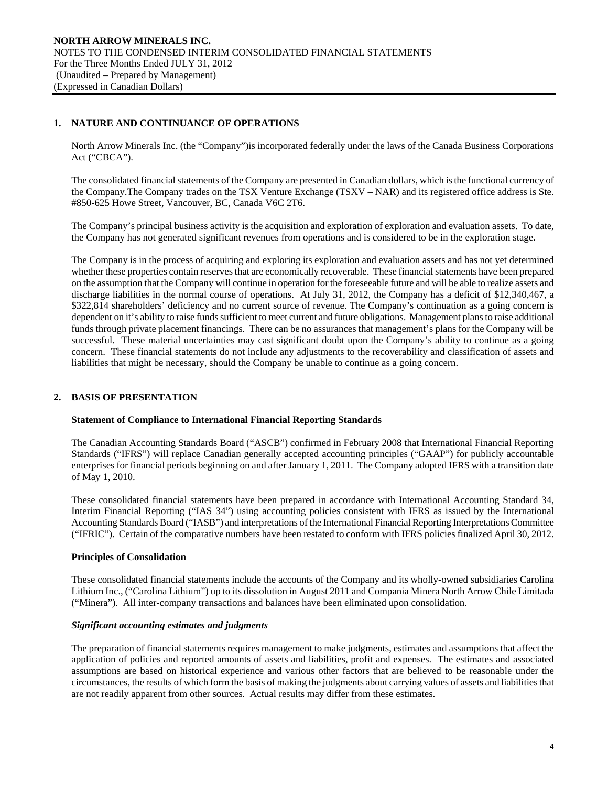### **1. NATURE AND CONTINUANCE OF OPERATIONS**

North Arrow Minerals Inc. (the "Company")is incorporated federally under the laws of the Canada Business Corporations Act ("CBCA").

The consolidated financial statements of the Company are presented in Canadian dollars, which is the functional currency of the Company.The Company trades on the TSX Venture Exchange (TSXV – NAR) and its registered office address is Ste. #850-625 Howe Street, Vancouver, BC, Canada V6C 2T6.

 The Company's principal business activity is the acquisition and exploration of exploration and evaluation assets. To date, the Company has not generated significant revenues from operations and is considered to be in the exploration stage.

The Company is in the process of acquiring and exploring its exploration and evaluation assets and has not yet determined whether these properties contain reserves that are economically recoverable. These financial statements have been prepared on the assumption that the Company will continue in operation for the foreseeable future and will be able to realize assets and discharge liabilities in the normal course of operations. At July 31, 2012, the Company has a deficit of \$12,340,467, a \$322,814 shareholders' deficiency and no current source of revenue. The Company's continuation as a going concern is dependent on it's ability to raise funds sufficient to meet current and future obligations. Management plans to raise additional funds through private placement financings. There can be no assurances that management's plans for the Company will be successful. These material uncertainties may cast significant doubt upon the Company's ability to continue as a going concern. These financial statements do not include any adjustments to the recoverability and classification of assets and liabilities that might be necessary, should the Company be unable to continue as a going concern.

### **2. BASIS OF PRESENTATION**

### **Statement of Compliance to International Financial Reporting Standards**

The Canadian Accounting Standards Board ("ASCB") confirmed in February 2008 that International Financial Reporting Standards ("IFRS") will replace Canadian generally accepted accounting principles ("GAAP") for publicly accountable enterprises for financial periods beginning on and after January 1, 2011. The Company adopted IFRS with a transition date of May 1, 2010.

These consolidated financial statements have been prepared in accordance with International Accounting Standard 34, Interim Financial Reporting ("IAS 34") using accounting policies consistent with IFRS as issued by the International Accounting Standards Board ("IASB") and interpretations of the International Financial Reporting Interpretations Committee ("IFRIC"). Certain of the comparative numbers have been restated to conform with IFRS policies finalized April 30, 2012.

### **Principles of Consolidation**

These consolidated financial statements include the accounts of the Company and its wholly-owned subsidiaries Carolina Lithium Inc., ("Carolina Lithium") up to its dissolution in August 2011 and Compania Minera North Arrow Chile Limitada ("Minera"). All inter-company transactions and balances have been eliminated upon consolidation.

#### *Significant accounting estimates and judgments*

The preparation of financial statements requires management to make judgments, estimates and assumptions that affect the application of policies and reported amounts of assets and liabilities, profit and expenses. The estimates and associated assumptions are based on historical experience and various other factors that are believed to be reasonable under the circumstances, the results of which form the basis of making the judgments about carrying values of assets and liabilities that are not readily apparent from other sources. Actual results may differ from these estimates.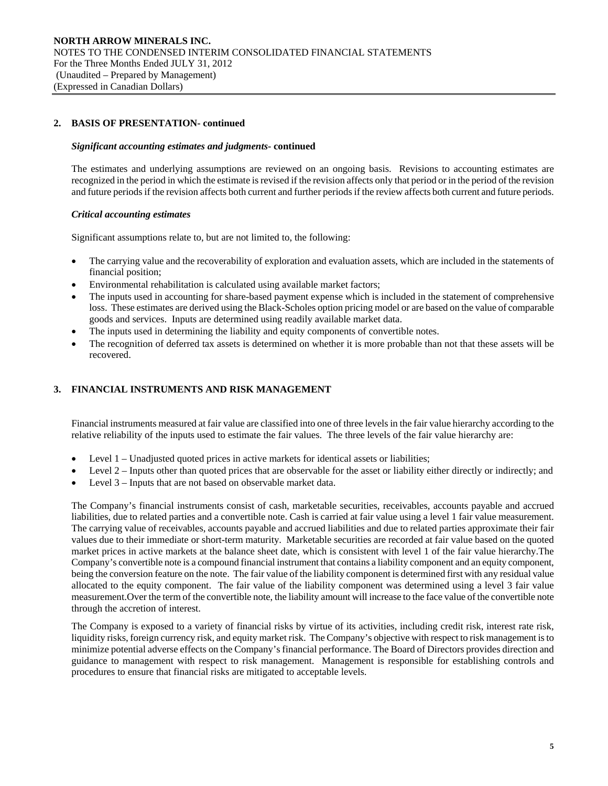### **2. BASIS OF PRESENTATION- continued**

#### *Significant accounting estimates and judgments***- continued**

 The estimates and underlying assumptions are reviewed on an ongoing basis. Revisions to accounting estimates are recognized in the period in which the estimate is revised if the revision affects only that period or in the period of the revision and future periods if the revision affects both current and further periods if the review affects both current and future periods.

#### *Critical accounting estimates*

Significant assumptions relate to, but are not limited to, the following:

- The carrying value and the recoverability of exploration and evaluation assets, which are included in the statements of financial position;
- Environmental rehabilitation is calculated using available market factors;
- The inputs used in accounting for share-based payment expense which is included in the statement of comprehensive loss. These estimates are derived using the Black-Scholes option pricing model or are based on the value of comparable goods and services. Inputs are determined using readily available market data.
- The inputs used in determining the liability and equity components of convertible notes.
- The recognition of deferred tax assets is determined on whether it is more probable than not that these assets will be recovered.

### **3. FINANCIAL INSTRUMENTS AND RISK MANAGEMENT**

Financial instruments measured at fair value are classified into one of three levels in the fair value hierarchy according to the relative reliability of the inputs used to estimate the fair values. The three levels of the fair value hierarchy are:

- Level 1 Unadjusted quoted prices in active markets for identical assets or liabilities;
- Level 2 Inputs other than quoted prices that are observable for the asset or liability either directly or indirectly; and
- Level 3 Inputs that are not based on observable market data.

The Company's financial instruments consist of cash, marketable securities, receivables, accounts payable and accrued liabilities, due to related parties and a convertible note. Cash is carried at fair value using a level 1 fair value measurement. The carrying value of receivables, accounts payable and accrued liabilities and due to related parties approximate their fair values due to their immediate or short-term maturity. Marketable securities are recorded at fair value based on the quoted market prices in active markets at the balance sheet date, which is consistent with level 1 of the fair value hierarchy.The Company's convertible note is a compound financial instrument that contains a liability component and an equity component, being the conversion feature on the note. The fair value of the liability component is determined first with any residual value allocated to the equity component. The fair value of the liability component was determined using a level 3 fair value measurement.Over the term of the convertible note, the liability amount will increase to the face value of the convertible note through the accretion of interest.

The Company is exposed to a variety of financial risks by virtue of its activities, including credit risk, interest rate risk, liquidity risks, foreign currency risk, and equity market risk. The Company's objective with respect to risk management is to minimize potential adverse effects on the Company's financial performance. The Board of Directors provides direction and guidance to management with respect to risk management. Management is responsible for establishing controls and procedures to ensure that financial risks are mitigated to acceptable levels.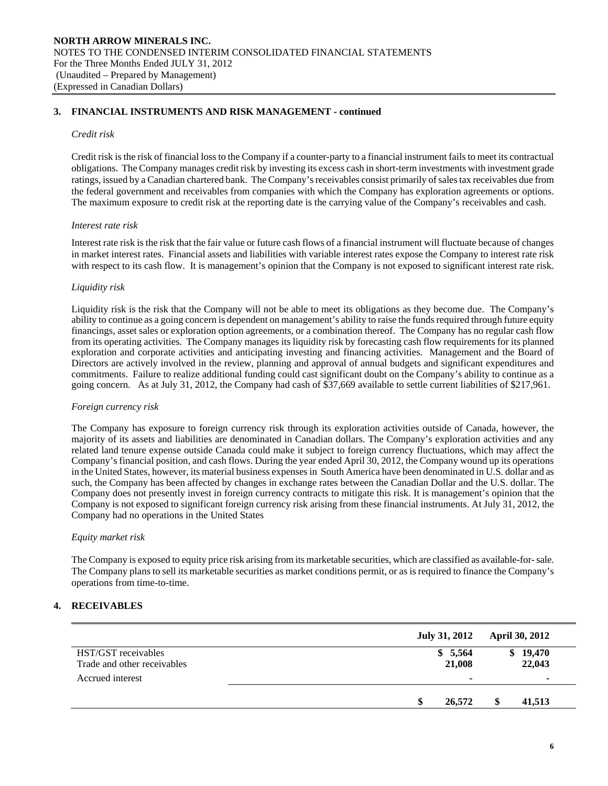#### **3. FINANCIAL INSTRUMENTS AND RISK MANAGEMENT - continued**

#### *Credit risk*

Credit risk is the risk of financial loss to the Company if a counter-party to a financial instrument fails to meet its contractual obligations. The Company manages credit risk by investing its excess cash in short-term investments with investment grade ratings, issued by a Canadian chartered bank. The Company's receivables consist primarily of sales tax receivables due from the federal government and receivables from companies with which the Company has exploration agreements or options. The maximum exposure to credit risk at the reporting date is the carrying value of the Company's receivables and cash.

#### *Interest rate risk*

Interest rate risk is the risk that the fair value or future cash flows of a financial instrument will fluctuate because of changes in market interest rates. Financial assets and liabilities with variable interest rates expose the Company to interest rate risk with respect to its cash flow. It is management's opinion that the Company is not exposed to significant interest rate risk.

#### *Liquidity risk*

Liquidity risk is the risk that the Company will not be able to meet its obligations as they become due. The Company's ability to continue as a going concern is dependent on management's ability to raise the funds required through future equity financings, asset sales or exploration option agreements, or a combination thereof. The Company has no regular cash flow from its operating activities. The Company manages its liquidity risk by forecasting cash flow requirements for its planned exploration and corporate activities and anticipating investing and financing activities. Management and the Board of Directors are actively involved in the review, planning and approval of annual budgets and significant expenditures and commitments. Failure to realize additional funding could cast significant doubt on the Company's ability to continue as a going concern. As at July 31, 2012, the Company had cash of \$37,669 available to settle current liabilities of \$217,961.

#### *Foreign currency risk*

 The Company has exposure to foreign currency risk through its exploration activities outside of Canada, however, the majority of its assets and liabilities are denominated in Canadian dollars. The Company's exploration activities and any related land tenure expense outside Canada could make it subject to foreign currency fluctuations, which may affect the Company's financial position, and cash flows. During the year ended April 30, 2012, the Company wound up its operations in the United States, however, its material business expenses in South America have been denominated in U.S. dollar and as such, the Company has been affected by changes in exchange rates between the Canadian Dollar and the U.S. dollar. The Company does not presently invest in foreign currency contracts to mitigate this risk. It is management's opinion that the Company is not exposed to significant foreign currency risk arising from these financial instruments. At July 31, 2012, the Company had no operations in the United States

#### *Equity market risk*

The Company is exposed to equity price risk arising from its marketable securities, which are classified as available-for- sale. The Company plans to sell its marketable securities as market conditions permit, or as is required to finance the Company's operations from time-to-time.

#### **4. RECEIVABLES**

|                                                    | <b>July 31, 2012</b> | <b>April 30, 2012</b> |
|----------------------------------------------------|----------------------|-----------------------|
| HST/GST receivables<br>Trade and other receivables | \$5,564<br>21,008    | 19,470<br>S<br>22,043 |
| Accrued interest                                   | ٠                    | ۰                     |
|                                                    | 26,572<br>S          | 41,513                |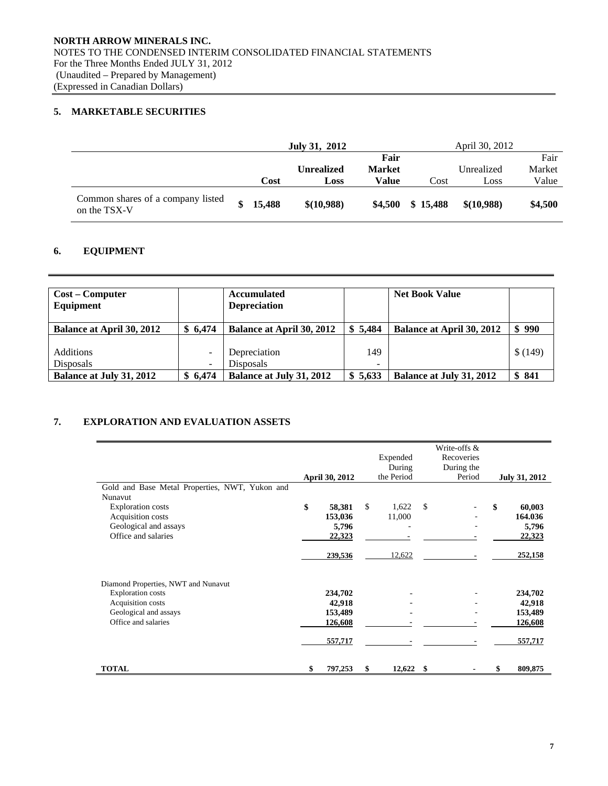# **5. MARKETABLE SECURITIES**

|                                                   | July 31, 2012 |        |                   |               | April 30, 2012 |            |         |  |
|---------------------------------------------------|---------------|--------|-------------------|---------------|----------------|------------|---------|--|
|                                                   |               |        |                   | Fair          |                |            | Fair    |  |
|                                                   |               |        | <b>Unrealized</b> | <b>Market</b> |                | Unrealized | Market  |  |
|                                                   |               | Cost   | Loss              | Value         | Cost           | Loss       | Value   |  |
| Common shares of a company listed<br>on the TSX-V |               | 15,488 | \$(10,988)        | \$4.500       | \$15,488       | \$(10,988) | \$4,500 |  |

# **6. EQUIPMENT**

| <b>Cost – Computer</b><br>Equipment |         | <b>Accumulated</b><br><b>Depreciation</b> |         | <b>Net Book Value</b>            |         |
|-------------------------------------|---------|-------------------------------------------|---------|----------------------------------|---------|
| <b>Balance at April 30, 2012</b>    | \$6,474 | <b>Balance at April 30, 2012</b>          | \$5,484 | <b>Balance at April 30, 2012</b> | \$990   |
|                                     |         |                                           |         |                                  |         |
| <b>Additions</b>                    |         | Depreciation                              | 149     |                                  | \$(149) |
| <b>Disposals</b>                    |         | Disposals                                 | -       |                                  |         |
| Balance at July 31, 2012            | \$6.474 | <b>Balance at July 31, 2012</b>           | \$5.633 | <b>Balance at July 31, 2012</b>  | \$841   |

# **7. EXPLORATION AND EVALUATION ASSETS**

|                                                |                |              |      | Write-offs & |               |
|------------------------------------------------|----------------|--------------|------|--------------|---------------|
|                                                |                | Expended     |      | Recoveries   |               |
|                                                |                | During       |      | During the   |               |
|                                                | April 30, 2012 | the Period   |      | Period       | July 31, 2012 |
| Gold and Base Metal Properties, NWT, Yukon and |                |              |      |              |               |
| Nunavut                                        |                |              |      |              |               |
| <b>Exploration</b> costs                       | \$<br>58,381   | \$<br>1,622  | \$   |              | \$<br>60,003  |
| Acquisition costs                              | 153,036        | 11,000       |      |              | 164.036       |
| Geological and assays                          | 5,796          |              |      |              | 5,796         |
| Office and salaries                            | 22,323         |              |      |              | 22,323        |
|                                                | 239,536        | 12,622       |      |              | 252,158       |
| Diamond Properties, NWT and Nunavut            |                |              |      |              |               |
| <b>Exploration costs</b>                       | 234,702        |              |      |              | 234,702       |
| Acquisition costs                              | 42,918         |              |      |              | 42,918        |
| Geological and assays                          | 153,489        |              |      |              | 153,489       |
| Office and salaries                            | 126,608        |              |      |              | 126,608       |
|                                                | 557,717        |              |      |              | 557,717       |
| <b>TOTAL</b>                                   | \$<br>797,253  | \$<br>12,622 | - \$ |              | \$<br>809,875 |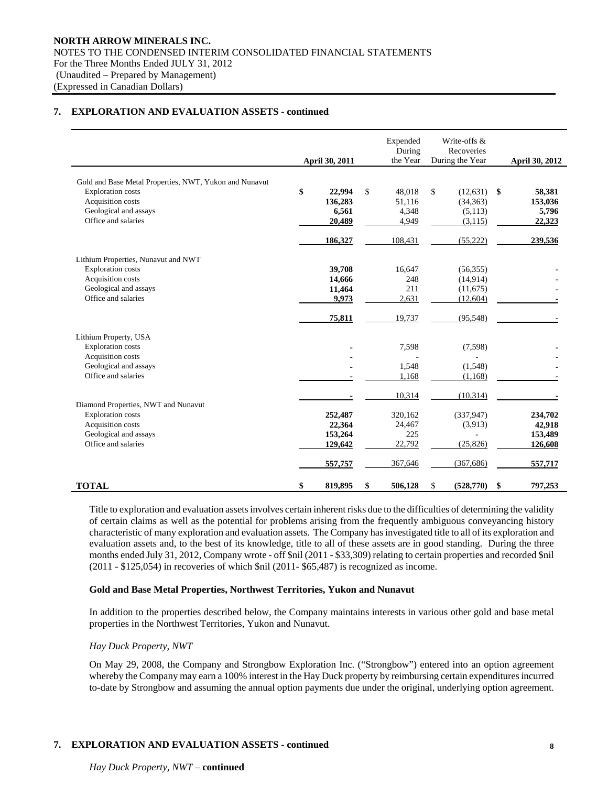### **7. EXPLORATION AND EVALUATION ASSETS - continued**

|                                                                                    | April 30, 2011 | Expended<br>During<br>the Year | Write-offs &<br>Recoveries<br>During the Year |               | April 30, 2012 |
|------------------------------------------------------------------------------------|----------------|--------------------------------|-----------------------------------------------|---------------|----------------|
|                                                                                    |                |                                |                                               |               |                |
| Gold and Base Metal Properties, NWT, Yukon and Nunavut<br><b>Exploration</b> costs | \$<br>22,994   | \$<br>48,018                   | \$<br>(12, 631)                               | $\mathbf{\$}$ | 58,381         |
| Acquisition costs                                                                  | 136,283        | 51,116                         | (34, 363)                                     |               | 153,036        |
| Geological and assays                                                              | 6,561          | 4,348                          | (5,113)                                       |               | 5,796          |
| Office and salaries                                                                | 20,489         | 4,949                          | (3, 115)                                      |               | 22,323         |
|                                                                                    |                |                                |                                               |               |                |
|                                                                                    | 186,327        | 108,431                        | (55, 222)                                     |               | 239,536        |
| Lithium Properties, Nunavut and NWT                                                |                |                                |                                               |               |                |
| <b>Exploration</b> costs                                                           | 39,708         | 16,647                         | (56, 355)                                     |               |                |
| Acquisition costs                                                                  | 14,666         | 248                            | (14, 914)                                     |               |                |
| Geological and assays                                                              | 11,464         | 211                            | (11,675)                                      |               |                |
| Office and salaries                                                                | 9,973          | 2,631                          | (12,604)                                      |               |                |
|                                                                                    | 75,811         | 19,737                         | (95, 548)                                     |               |                |
| Lithium Property, USA                                                              |                |                                |                                               |               |                |
| <b>Exploration</b> costs                                                           |                | 7,598                          | (7,598)                                       |               |                |
| Acquisition costs                                                                  |                |                                |                                               |               |                |
| Geological and assays                                                              |                | 1,548                          | (1,548)                                       |               |                |
| Office and salaries                                                                |                | 1,168                          | (1, 168)                                      |               |                |
|                                                                                    |                | 10,314                         | (10, 314)                                     |               |                |
| Diamond Properties, NWT and Nunavut                                                |                |                                |                                               |               |                |
| <b>Exploration</b> costs                                                           | 252,487        | 320,162                        | (337, 947)                                    |               | 234,702        |
| Acquisition costs                                                                  | 22,364         | 24,467                         | (3,913)                                       |               | 42,918         |
| Geological and assays<br>Office and salaries                                       | 153,264        | 225                            |                                               |               | 153,489        |
|                                                                                    | 129,642        | 22,792                         | (25, 826)                                     |               | 126,608        |
|                                                                                    | 557,757        | 367,646                        | (367, 686)                                    |               | 557,717        |
| <b>TOTAL</b>                                                                       | \$<br>819,895  | \$<br>506,128                  | \$<br>(528,770)                               | \$            | 797,253        |

 Title to exploration and evaluation assets involves certain inherent risks due to the difficulties of determining the validity of certain claims as well as the potential for problems arising from the frequently ambiguous conveyancing history characteristic of many exploration and evaluation assets. The Company has investigated title to all of its exploration and evaluation assets and, to the best of its knowledge, title to all of these assets are in good standing. During the three months ended July 31, 2012, Company wrote - off \$nil (2011 - \$33,309) relating to certain properties and recorded \$nil (2011 - \$125,054) in recoveries of which \$nil (2011- \$65,487) is recognized as income.

#### **Gold and Base Metal Properties, Northwest Territories, Yukon and Nunavut**

In addition to the properties described below, the Company maintains interests in various other gold and base metal properties in the Northwest Territories, Yukon and Nunavut.

### *Hay Duck Property, NWT*

On May 29, 2008, the Company and Strongbow Exploration Inc. ("Strongbow") entered into an option agreement whereby the Company may earn a 100% interest in the Hay Duck property by reimbursing certain expenditures incurred to-date by Strongbow and assuming the annual option payments due under the original, underlying option agreement.

# **7. EXPLORATION AND EVALUATION ASSETS - continued**

*Hay Duck Property, NWT –* **continued**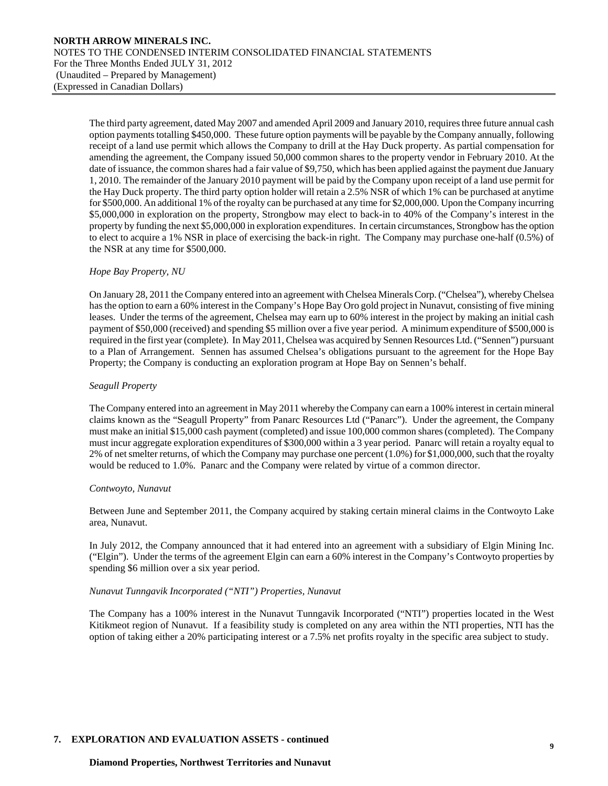The third party agreement, dated May 2007 and amended April 2009 and January 2010, requires three future annual cash option payments totalling \$450,000. These future option payments will be payable by the Company annually, following receipt of a land use permit which allows the Company to drill at the Hay Duck property. As partial compensation for amending the agreement, the Company issued 50,000 common shares to the property vendor in February 2010. At the date of issuance, the common shares had a fair value of \$9,750, which has been applied against the payment due January 1, 2010. The remainder of the January 2010 payment will be paid by the Company upon receipt of a land use permit for the Hay Duck property. The third party option holder will retain a 2.5% NSR of which 1% can be purchased at anytime for \$500,000. An additional 1% of the royalty can be purchased at any time for \$2,000,000. Upon the Company incurring \$5,000,000 in exploration on the property, Strongbow may elect to back-in to 40% of the Company's interest in the property by funding the next \$5,000,000 in exploration expenditures. In certain circumstances, Strongbow has the option to elect to acquire a 1% NSR in place of exercising the back-in right. The Company may purchase one-half (0.5%) of the NSR at any time for \$500,000.

### *Hope Bay Property, NU*

On January 28, 2011 the Company entered into an agreement with Chelsea Minerals Corp. ("Chelsea"), whereby Chelsea has the option to earn a 60% interest in the Company's Hope Bay Oro gold project in Nunavut, consisting of five mining leases. Under the terms of the agreement, Chelsea may earn up to 60% interest in the project by making an initial cash payment of \$50,000 (received) and spending \$5 million over a five year period. A minimum expenditure of \$500,000 is required in the first year (complete). In May 2011, Chelsea was acquired by Sennen Resources Ltd. ("Sennen") pursuant to a Plan of Arrangement. Sennen has assumed Chelsea's obligations pursuant to the agreement for the Hope Bay Property; the Company is conducting an exploration program at Hope Bay on Sennen's behalf.

#### *Seagull Property*

The Company entered into an agreement in May 2011 whereby the Company can earn a 100% interest in certain mineral claims known as the "Seagull Property" from Panarc Resources Ltd ("Panarc"). Under the agreement, the Company must make an initial \$15,000 cash payment (completed) and issue 100,000 common shares (completed). The Company must incur aggregate exploration expenditures of \$300,000 within a 3 year period. Panarc will retain a royalty equal to 2% of net smelter returns, of which the Company may purchase one percent (1.0%) for \$1,000,000, such that the royalty would be reduced to 1.0%. Panarc and the Company were related by virtue of a common director.

#### *Contwoyto, Nunavut*

Between June and September 2011, the Company acquired by staking certain mineral claims in the Contwoyto Lake area, Nunavut.

In July 2012, the Company announced that it had entered into an agreement with a subsidiary of Elgin Mining Inc. ("Elgin"). Under the terms of the agreement Elgin can earn a 60% interest in the Company's Contwoyto properties by spending \$6 million over a six year period.

### *Nunavut Tunngavik Incorporated ("NTI") Properties, Nunavut*

The Company has a 100% interest in the Nunavut Tunngavik Incorporated ("NTI") properties located in the West Kitikmeot region of Nunavut. If a feasibility study is completed on any area within the NTI properties, NTI has the option of taking either a 20% participating interest or a 7.5% net profits royalty in the specific area subject to study.

### **7. EXPLORATION AND EVALUATION ASSETS - continued**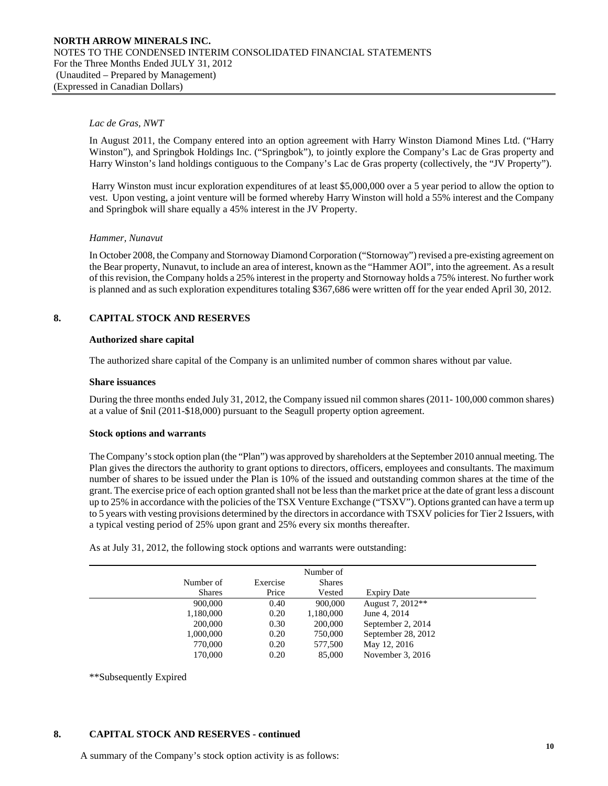#### *Lac de Gras, NWT*

In August 2011, the Company entered into an option agreement with Harry Winston Diamond Mines Ltd. ("Harry Winston"), and Springbok Holdings Inc. ("Springbok"), to jointly explore the Company's Lac de Gras property and Harry Winston's land holdings contiguous to the Company's Lac de Gras property (collectively, the "JV Property").

 Harry Winston must incur exploration expenditures of at least \$5,000,000 over a 5 year period to allow the option to vest. Upon vesting, a joint venture will be formed whereby Harry Winston will hold a 55% interest and the Company and Springbok will share equally a 45% interest in the JV Property.

#### *Hammer, Nunavut*

In October 2008, the Company and Stornoway Diamond Corporation ("Stornoway") revised a pre-existing agreement on the Bear property, Nunavut, to include an area of interest, known as the "Hammer AOI", into the agreement. As a result of this revision, the Company holds a 25% interest in the property and Stornoway holds a 75% interest. No further work is planned and as such exploration expenditures totaling \$367,686 were written off for the year ended April 30, 2012.

#### **8. CAPITAL STOCK AND RESERVES**

#### **Authorized share capital**

The authorized share capital of the Company is an unlimited number of common shares without par value.

#### **Share issuances**

During the three months ended July 31, 2012, the Company issued nil common shares (2011- 100,000 common shares) at a value of \$nil (2011-\$18,000) pursuant to the Seagull property option agreement.

#### **Stock options and warrants**

The Company's stock option plan (the "Plan") was approved by shareholders at the September 2010 annual meeting. The Plan gives the directors the authority to grant options to directors, officers, employees and consultants. The maximum number of shares to be issued under the Plan is 10% of the issued and outstanding common shares at the time of the grant. The exercise price of each option granted shall not be less than the market price at the date of grant less a discount up to 25% in accordance with the policies of the TSX Venture Exchange ("TSXV"). Options granted can have a term up to 5 years with vesting provisions determined by the directors in accordance with TSXV policies for Tier 2 Issuers, with a typical vesting period of 25% upon grant and 25% every six months thereafter.

As at July 31, 2012, the following stock options and warrants were outstanding:

|               |          | Number of     |                    |
|---------------|----------|---------------|--------------------|
| Number of     | Exercise | <b>Shares</b> |                    |
| <b>Shares</b> | Price    | Vested        | <b>Expiry Date</b> |
| 900,000       | 0.40     | 900,000       | August 7, 2012**   |
| 1,180,000     | 0.20     | 1,180,000     | June 4, 2014       |
| 200,000       | 0.30     | 200,000       | September 2, 2014  |
| 1,000,000     | 0.20     | 750,000       | September 28, 2012 |
| 770,000       | 0.20     | 577,500       | May 12, 2016       |
| 170,000       | 0.20     | 85,000        | November 3, 2016   |
|               |          |               |                    |

\*\*Subsequently Expired

#### **8. CAPITAL STOCK AND RESERVES - continued**

A summary of the Company's stock option activity is as follows: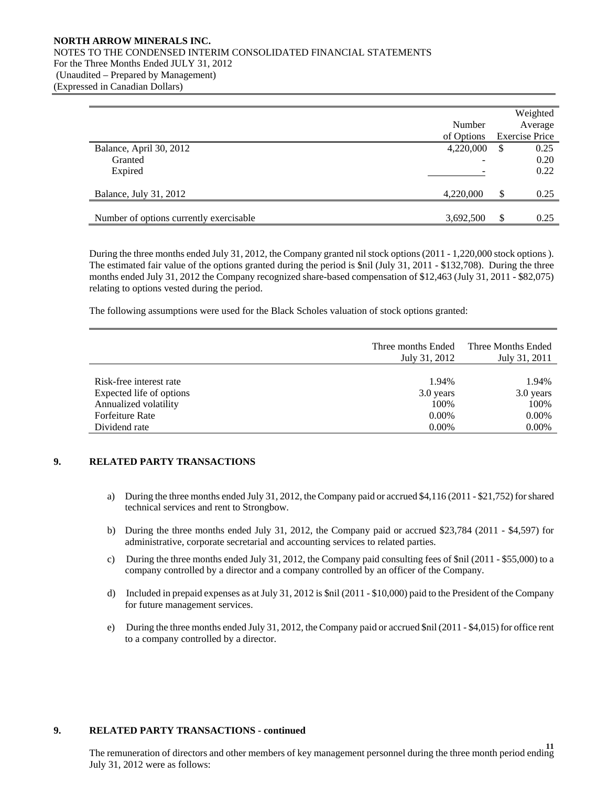### **NORTH ARROW MINERALS INC.**  NOTES TO THE CONDENSED INTERIM CONSOLIDATED FINANCIAL STATEMENTS For the Three Months Ended JULY 31, 2012 (Unaudited – Prepared by Management) (Expressed in Canadian Dollars)

|                                         |            | Weighted              |
|-----------------------------------------|------------|-----------------------|
|                                         | Number     | Average               |
|                                         | of Options | <b>Exercise Price</b> |
| Balance, April 30, 2012                 | 4,220,000  | \$<br>0.25            |
| Granted                                 |            | 0.20                  |
| Expired                                 |            | 0.22                  |
|                                         |            |                       |
| Balance, July 31, 2012                  | 4,220,000  | \$<br>0.25            |
|                                         |            |                       |
| Number of options currently exercisable | 3,692,500  | \$<br>0.25            |

 During the three months ended July 31, 2012, the Company granted nil stock options (2011 - 1,220,000 stock options ). The estimated fair value of the options granted during the period is \$nil (July 31, 2011 - \$132,708). During the three months ended July 31, 2012 the Company recognized share-based compensation of \$12,463 (July 31, 2011 - \$82,075) relating to options vested during the period.

The following assumptions were used for the Black Scholes valuation of stock options granted:

|                          | Three months Ended<br>July 31, 2012 | Three Months Ended<br>July 31, 2011 |
|--------------------------|-------------------------------------|-------------------------------------|
| Risk-free interest rate  | 1.94%                               | 1.94%                               |
| Expected life of options | 3.0 years                           | 3.0 years                           |
| Annualized volatility    | 100%                                | 100%                                |
| Forfeiture Rate          | $0.00\%$                            | 0.00%                               |
| Dividend rate            | $0.00\%$                            | 0.00%                               |

### **9. RELATED PARTY TRANSACTIONS**

- a) During the three months ended July 31, 2012, the Company paid or accrued \$4,116 (2011 \$21,752) for shared technical services and rent to Strongbow.
- b) During the three months ended July 31, 2012, the Company paid or accrued \$23,784 (2011 \$4,597) for administrative, corporate secretarial and accounting services to related parties.
- c) During the three months ended July 31, 2012, the Company paid consulting fees of \$nil (2011 \$55,000) to a company controlled by a director and a company controlled by an officer of the Company.
- d) Included in prepaid expenses as at July 31, 2012 is \$nil (2011 \$10,000) paid to the President of the Company for future management services.
- e) During the three months ended July 31, 2012, the Company paid or accrued \$nil (2011 \$4,015) for office rent to a company controlled by a director.

#### **9. RELATED PARTY TRANSACTIONS - continued**

**11**  The remuneration of directors and other members of key management personnel during the three month period ending July 31, 2012 were as follows: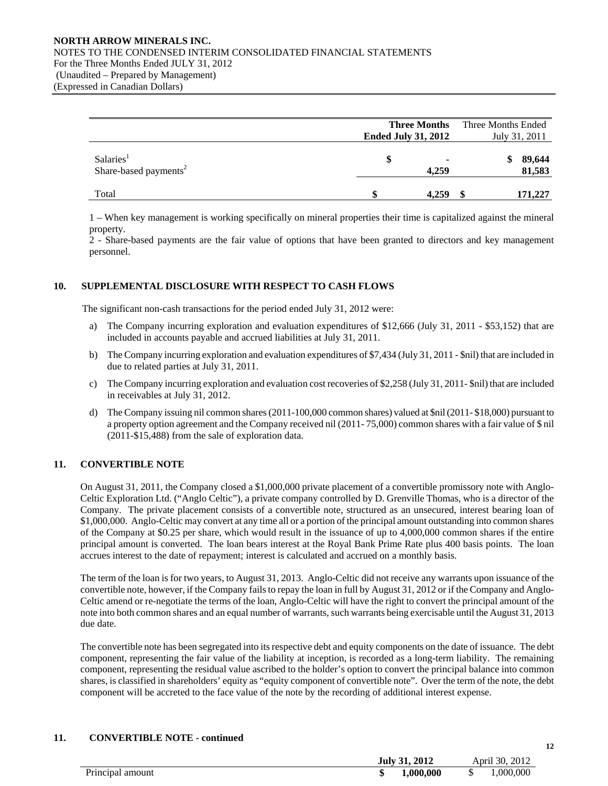#### **NORTH ARROW MINERALS INC.**  NOTES TO THE CONDENSED INTERIM CONSOLIDATED FINANCIAL STATEMENTS For the Three Months Ended JULY 31, 2012 (Unaudited – Prepared by Management) (Expressed in Canadian Dollars)

|                                                            | <b>Three Months</b><br><b>Ended July 31, 2012</b> |  | Three Months Ended<br>July 31, 2011 |  |
|------------------------------------------------------------|---------------------------------------------------|--|-------------------------------------|--|
| Salaries <sup>1</sup><br>Share-based payments <sup>2</sup> | \$<br>٠<br>4,259                                  |  | 89,644<br>81,583                    |  |
| Total                                                      | 4.259                                             |  | 171,227                             |  |

1 – When key management is working specifically on mineral properties their time is capitalized against the mineral property.

2 - Share-based payments are the fair value of options that have been granted to directors and key management personnel.

### **10. SUPPLEMENTAL DISCLOSURE WITH RESPECT TO CASH FLOWS**

The significant non-cash transactions for the period ended July 31, 2012 were:

- a) The Company incurring exploration and evaluation expenditures of \$12,666 (July 31, 2011 \$53,152) that are included in accounts payable and accrued liabilities at July 31, 2011.
- b) The Company incurring exploration and evaluation expenditures of \$7,434 (July 31, 2011 \$nil) that are included in due to related parties at July 31, 2011.
- c) The Company incurring exploration and evaluation cost recoveries of \$2,258 (July 31, 2011- \$nil) that are included in receivables at July 31, 2012.
- d) The Company issuing nil common shares (2011-100,000 common shares) valued at \$nil (2011- \$18,000) pursuant to a property option agreement and the Company received nil (2011- 75,000) common shares with a fair value of \$ nil (2011-\$15,488) from the sale of exploration data.

### **11. CONVERTIBLE NOTE**

 On August 31, 2011, the Company closed a \$1,000,000 private placement of a convertible promissory note with Anglo-Celtic Exploration Ltd. ("Anglo Celtic"), a private company controlled by D. Grenville Thomas, who is a director of the Company. The private placement consists of a convertible note, structured as an unsecured, interest bearing loan of \$1,000,000. Anglo-Celtic may convert at any time all or a portion of the principal amount outstanding into common shares of the Company at \$0.25 per share, which would result in the issuance of up to 4,000,000 common shares if the entire principal amount is converted. The loan bears interest at the Royal Bank Prime Rate plus 400 basis points. The loan accrues interest to the date of repayment; interest is calculated and accrued on a monthly basis.

 The term of the loan is for two years, to August 31, 2013. Anglo-Celtic did not receive any warrants upon issuance of the convertible note, however, if the Company fails to repay the loan in full by August 31, 2012 or if the Company and Anglo-Celtic amend or re-negotiate the terms of the loan, Anglo-Celtic will have the right to convert the principal amount of the note into both common shares and an equal number of warrants, such warrants being exercisable until the August 31, 2013 due date.

 The convertible note has been segregated into its respective debt and equity components on the date of issuance. The debt component, representing the fair value of the liability at inception, is recorded as a long-term liability. The remaining component, representing the residual value ascribed to the holder's option to convert the principal balance into common shares, is classified in shareholders' equity as "equity component of convertible note". Over the term of the note, the debt component will be accreted to the face value of the note by the recording of additional interest expense.

### **11. CONVERTIBLE NOTE - continued**

| <b>July 31, 2012</b> | April 30, 2012 |
|----------------------|----------------|
| 1,000,000<br>ιD      | ,000,000<br>D  |
|                      |                |